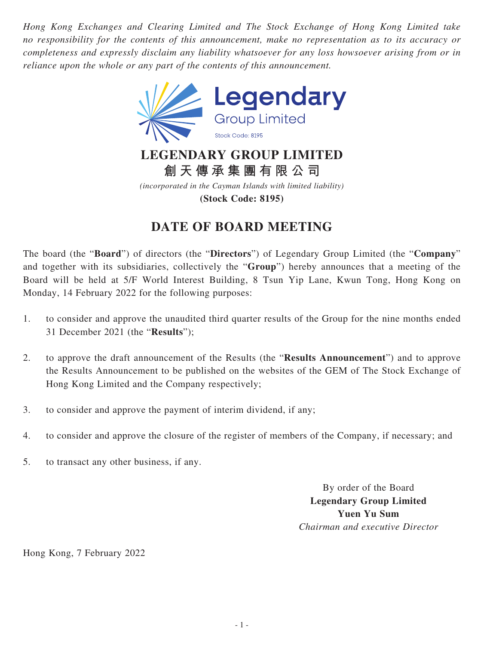*Hong Kong Exchanges and Clearing Limited and The Stock Exchange of Hong Kong Limited take no responsibility for the contents of this announcement, make no representation as to its accuracy or completeness and expressly disclaim any liability whatsoever for any loss howsoever arising from or in reliance upon the whole or any part of the contents of this announcement.*



**創天傳承集團有限公司**

*(incorporated in the Cayman Islands with limited liability)* **(Stock Code: 8195)**

## **DATE OF BOARD MEETING**

The board (the "**Board**") of directors (the "**Directors**") of Legendary Group Limited (the "**Company**" and together with its subsidiaries, collectively the "**Group**") hereby announces that a meeting of the Board will be held at 5/F World Interest Building, 8 Tsun Yip Lane, Kwun Tong, Hong Kong on Monday, 14 February 2022 for the following purposes:

- 1. to consider and approve the unaudited third quarter results of the Group for the nine months ended 31 December 2021 (the "**Results**");
- 2. to approve the draft announcement of the Results (the "**Results Announcement**") and to approve the Results Announcement to be published on the websites of the GEM of The Stock Exchange of Hong Kong Limited and the Company respectively;
- 3. to consider and approve the payment of interim dividend, if any;
- 4. to consider and approve the closure of the register of members of the Company, if necessary; and
- 5. to transact any other business, if any.

By order of the Board **Legendary Group Limited Yuen Yu Sum** *Chairman and executive Director*

Hong Kong, 7 February 2022